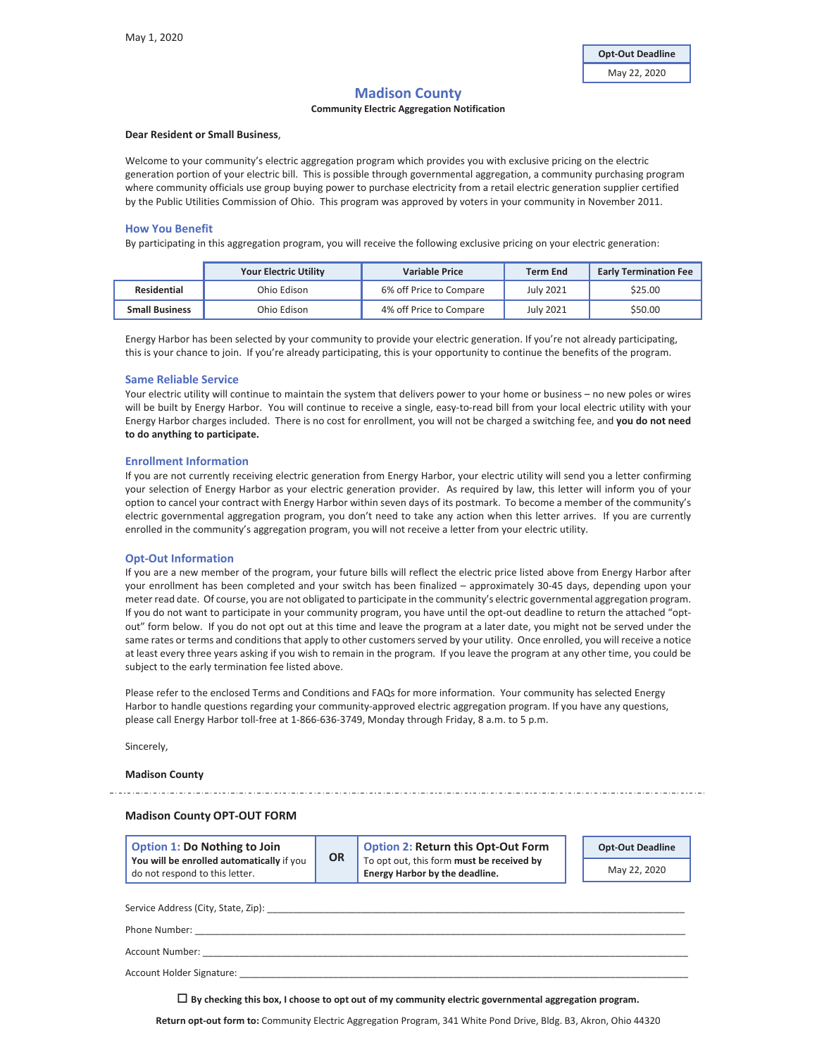# **Madison County**

# **Community Electric Aggregation Notification**

## **Dear Resident or Small Business**,

Welcome to your community's electric aggregation program which provides you with exclusive pricing on the electric generation portion of your electric bill. This is possible through governmental aggregation, a community purchasing program where community officials use group buying power to purchase electricity from a retail electric generation supplier certified by the Public Utilities Commission of Ohio. This program was approved by voters in your community in November 2011.

## **How You Benefit**

By participating in this aggregation program, you will receive the following exclusive pricing on your electric generation:

|                       | <b>Your Electric Utility</b> | <b>Variable Price</b>   | <b>Term End</b>  | <b>Early Termination Fee</b> |
|-----------------------|------------------------------|-------------------------|------------------|------------------------------|
| Residential           | Ohio Edison                  | 6% off Price to Compare | <b>July 2021</b> | \$25.00                      |
| <b>Small Business</b> | Ohio Edison                  | 4% off Price to Compare | <b>July 2021</b> | \$50.00                      |

Energy Harbor has been selected by your community to provide your electric generation. If you're not already participating, this is your chance to join. If you're already participating, this is your opportunity to continue the benefits of the program.

## **Same Reliable Service**

Your electric utility will continue to maintain the system that delivers power to your home or business – no new poles or wires will be built by Energy Harbor. You will continue to receive a single, easy-to-read bill from your local electric utility with your Energy Harbor charges included.There is no cost for enrollment, you will not be charged a switching fee, and **you do not need to do anything to participate.**

## **Enrollment Information**

If you are not currently receiving electric generation from Energy Harbor, your electric utility will send you a letter confirming your selection of Energy Harbor as your electric generation provider. As required by law, this letter will inform you of your option to cancel your contract with Energy Harbor within seven days of its postmark. To become a member of the community's electric governmental aggregation program, you don't need to take any action when this letter arrives. If you are currently enrolled in the community's aggregation program, you will not receive a letter from your electric utility.

## **OptͲOut Information**

If you are a new member of the program, your future bills will reflect the electric price listed above from Energy Harbor after your enrollment has been completed and your switch has been finalized – approximately 30-45 days, depending upon your meter read date. Of course, you are not obligated to participate in the community's electric governmental aggregation program. If you do not want to participate in your community program, you have until the opt-out deadline to return the attached "optout" form below. If you do not opt out at this time and leave the program at a later date, you might not be served under the same rates or terms and conditions that apply to other customers served by your utility. Once enrolled, you will receive a notice at least every three years asking if you wish to remain in the program. If you leave the program at any other time, you could be subject to the early termination fee listed above.

Please refer to the enclosed Terms and Conditions and FAQs for more information. Your community has selected Energy Harbor to handle questions regarding your community-approved electric aggregation program. If you have any questions, please call Energy Harbor toll-free at 1-866-636-3749, Monday through Friday, 8 a.m. to 5 p.m.

Sincerely,

#### **Madison County**

#### **Madison County OPT-OUT FORM**

| Option 1: Do Nothing to Join                                                | <b>OR</b> | <b>Option 2: Return this Opt-Out Form</b><br>To opt out, this form must be received by<br>Energy Harbor by the deadline. | <b>Opt-Out Deadline</b> |
|-----------------------------------------------------------------------------|-----------|--------------------------------------------------------------------------------------------------------------------------|-------------------------|
| You will be enrolled automatically if you<br>do not respond to this letter. |           |                                                                                                                          | May 22, 2020            |
|                                                                             |           |                                                                                                                          |                         |
| Service Address (City, State, Zip):                                         |           |                                                                                                                          |                         |
| Phone Number:                                                               |           |                                                                                                                          |                         |

Account Number:

Account Holder Signature:

**By checking this box, I choose to opt out of my community electric governmental aggregation program.**

**Return optͲout form to:** Community Electric Aggregation Program, 341 White Pond Drive, Bldg. B3, Akron, Ohio 44320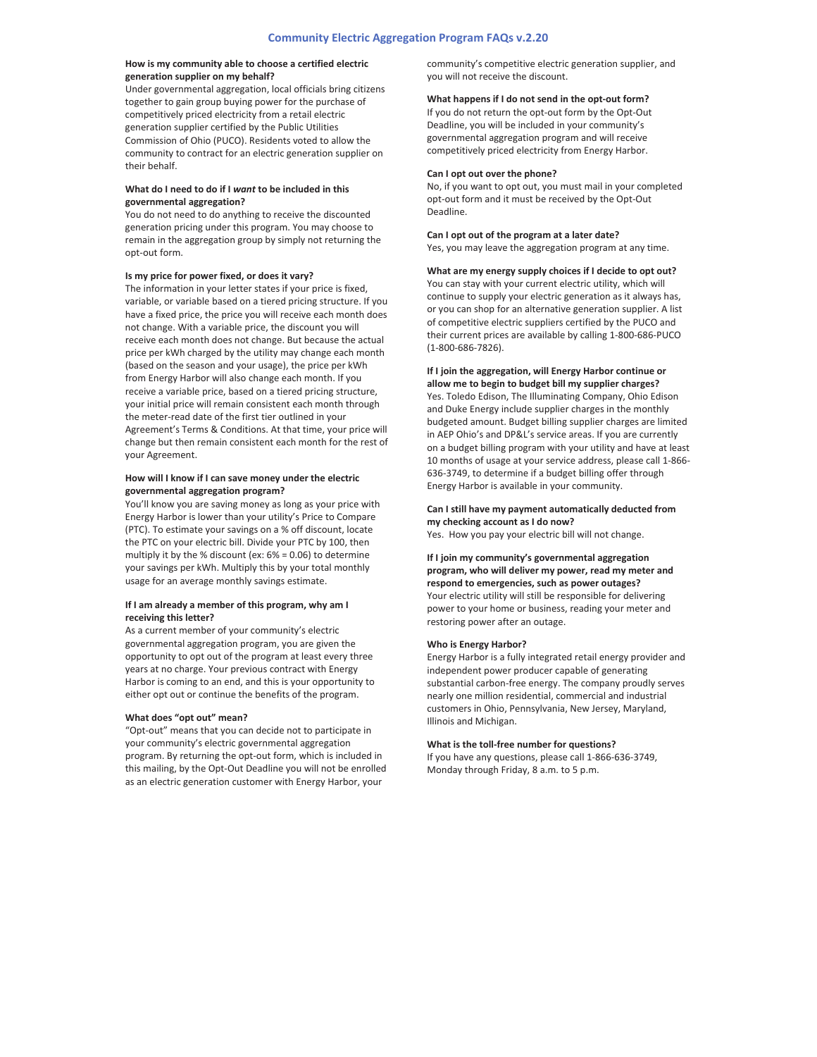## **How is my community able to choose a certified electric generation supplier on my behalf?**

Under governmental aggregation, local officials bring citizens together to gain group buying power for the purchase of competitively priced electricity from a retail electric generation supplier certified by the Public Utilities Commission of Ohio (PUCO). Residents voted to allow the community to contract for an electric generation supplier on their behalf.

## **What do I need to do if I** *want* **to be included in this governmental aggregation?**

You do not need to do anything to receive the discounted generation pricing under this program. You may choose to remain in the aggregation group by simply not returning the opt-out form.

#### **Is my price for power fixed, or does it vary?**

The information in your letter states if your price is fixed, variable, or variable based on a tiered pricing structure. If you have a fixed price, the price you will receive each month does not change. With a variable price, the discount you will receive each month does not change. But because the actual price per kWh charged by the utility may change each month (based on the season and your usage), the price per kWh from Energy Harbor will also change each month. If you receive a variable price, based on a tiered pricing structure, your initial price will remain consistent each month through the meter-read date of the first tier outlined in your Agreement's Terms & Conditions. At that time, your price will change but then remain consistent each month for the rest of your Agreement.

## **How will I know if I can save money under the electric governmental aggregation program?**

You'll know you are saving money as long as your price with Energy Harbor is lower than your utility's Price to Compare (PTC). To estimate your savings on a % off discount, locate the PTC on your electric bill. Divide your PTC by 100, then multiply it by the % discount (ex: 6% = 0.06) to determine your savings per kWh. Multiply this by your total monthly usage for an average monthly savings estimate.

#### **If I am already a member of this program, why am I receiving this letter?**

As a current member of your community's electric governmental aggregation program, you are given the opportunity to opt out of the program at least every three years at no charge. Your previous contract with Energy Harbor is coming to an end, and this is your opportunity to either opt out or continue the benefits of the program.

#### **What does "opt out" mean?**

"Opt-out" means that you can decide not to participate in your community's electric governmental aggregation program. By returning the opt-out form, which is included in this mailing, by the Opt-Out Deadline you will not be enrolled as an electric generation customer with Energy Harbor, your

community's competitive electric generation supplier, and you will not receive the discount.

#### **What happens** if **I** do not send in the opt-out form?

If you do not return the opt-out form by the Opt-Out Deadline, you will be included in your community's governmental aggregation program and will receive competitively priced electricity from Energy Harbor.

## **Can I opt out over the phone?**

No, if you want to opt out, you must mail in your completed opt-out form and it must be received by the Opt-Out Deadline.

#### **Can I opt out of the program at a later date?**

Yes, you may leave the aggregation program at any time.

**What are my energy supply choices if I decide to opt out?** You can stay with your current electric utility, which will continue to supply your electric generation as it always has, or you can shop for an alternative generation supplier. A list of competitive electric suppliers certified by the PUCO and their current prices are available by calling 1-800-686-PUCO (1-800-686-7826).

# **If I join the aggregation, will Energy Harbor continue or**

**allow me to begin to budget bill my supplier charges?** Yes. Toledo Edison, The Illuminating Company, Ohio Edison and Duke Energy include supplier charges in the monthly budgeted amount. Budget billing supplier charges are limited in AEP Ohio's and DP&L's service areas. If you are currently on a budget billing program with your utility and have at least 10 months of usage at your service address, please call 1-866-636-3749, to determine if a budget billing offer through Energy Harbor is available in your community.

# **Can I still have my payment automatically deducted from my checking account as I do now?**

Yes. How you pay your electric bill will not change.

**If I join my community's governmental aggregation program, who will deliver my power, read my meter and respond to emergencies, such as power outages?** Your electric utility will still be responsible for delivering power to your home or business, reading your meter and restoring power after an outage.

#### **Who is Energy Harbor?**

Energy Harbor is a fully integrated retail energy provider and independent power producer capable of generating substantial carbon-free energy. The company proudly serves nearly one million residential, commercial and industrial customers in Ohio, Pennsylvania, New Jersey, Maryland, Illinois and Michigan.

#### **What** is the **toll**-free number for questions?

If you have any questions, please call 1-866-636-3749, Monday through Friday, 8 a.m. to 5 p.m.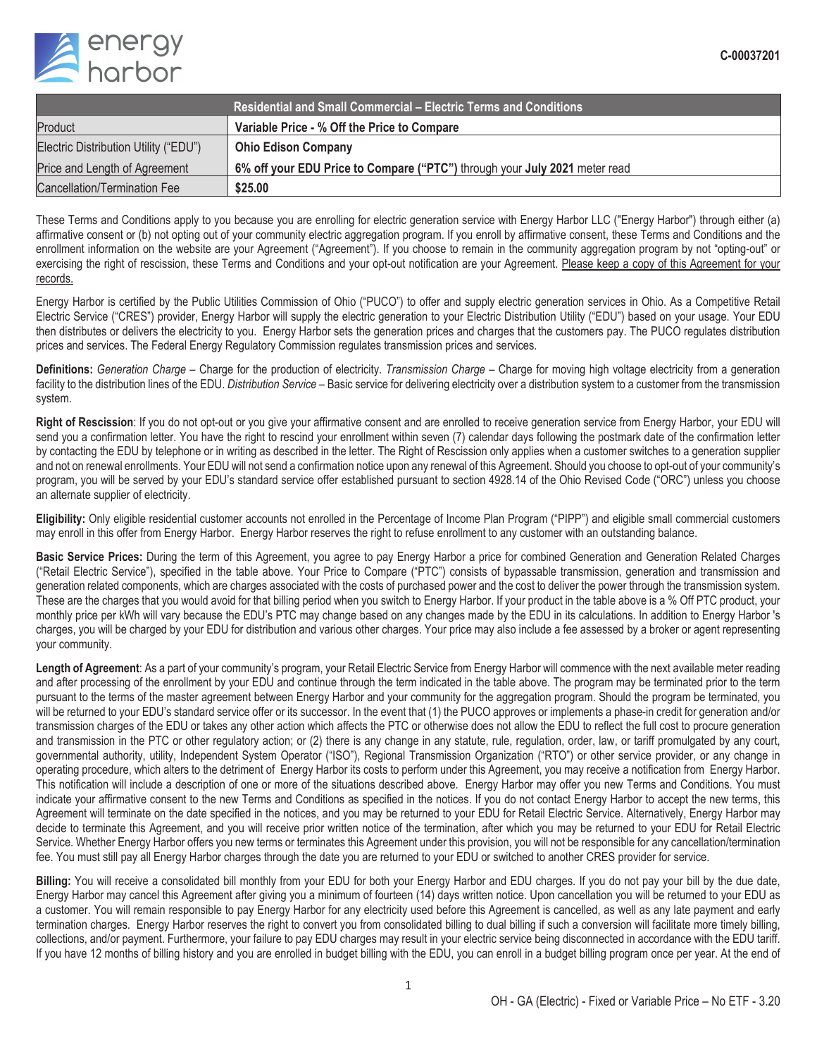

| <b>Residential and Small Commercial – Electric Terms and Conditions</b> |                                                                            |  |  |
|-------------------------------------------------------------------------|----------------------------------------------------------------------------|--|--|
| Product                                                                 | Variable Price - % Off the Price to Compare                                |  |  |
| Electric Distribution Utility ("EDU")                                   | <b>Ohio Edison Company</b>                                                 |  |  |
| Price and Length of Agreement                                           | 6% off your EDU Price to Compare ("PTC") through your July 2021 meter read |  |  |
| Cancellation/Termination Fee                                            | \$25.00                                                                    |  |  |

These Terms and Conditions apply to you because you are enrolling for electric generation service with Energy Harbor LLC ("Energy Harbor") through either (a) affirmative consent or (b) not opting out of your community electric aggregation program. If you enroll by affirmative consent, these Terms and Conditions and the enrollment information on the website are your Agreement ("Agreement"). If you choose to remain in the community aggregation program by not "opting-out" or exercising the right of rescission, these Terms and Conditions and your opt-out notification are your Agreement. Please keep a copy of this Agreement for your records.

Energy Harbor is certified by the Public Utilities Commission of Ohio ("PUCO") to offer and supply electric generation services in Ohio. As a Competitive Retail Electric Service ("CRES") provider, Energy Harbor will supply the electric generation to your Electric Distribution Utility ("EDU") based on your usage. Your EDU then distributes or delivers the electricity to you. Energy Harbor sets the generation prices and charges that the customers pay. The PUCO regulates distribution prices and services. The Federal Energy Regulatory Commission regulates transmission prices and services.

**Definitions:** *Generation Charge* – Charge for the production of electricity. *Transmission Charge* – Charge for moving high voltage electricity from a generation facility to the distribution lines of the EDU. *Distribution Service* – Basic service for delivering electricity over a distribution system to a customer from the transmission system.

**Right of Rescission**: If you do not opt-out or you give your affirmative consent and are enrolled to receive generation service from Energy Harbor, your EDU will send you a confirmation letter. You have the right to rescind your enrollment within seven (7) calendar days following the postmark date of the confirmation letter by contacting the EDU by telephone or in writing as described in the letter. The Right of Rescission only applies when a customer switches to a generation supplier and not on renewal enrollments. Your EDU will not send a confirmation notice upon any renewal of this Agreement. Should you choose to opt-out of your community's program, you will be served by your EDU's standard service offer established pursuant to section 4928.14 of the Ohio Revised Code ("ORC") unless you choose an alternate supplier of electricity.

**Eligibility:** Only eligible residential customer accounts not enrolled in the Percentage of Income Plan Program ("PIPP") and eligible small commercial customers may enroll in this offer from Energy Harbor. Energy Harbor reserves the right to refuse enrollment to any customer with an outstanding balance.

**Basic Service Prices:** During the term of this Agreement, you agree to pay Energy Harbor a price for combined Generation and Generation Related Charges ("Retail Electric Service"), specified in the table above. Your Price to Compare ("PTC") consists of bypassable transmission, generation and transmission and generation related components, which are charges associated with the costs of purchased power and the cost to deliver the power through the transmission system. These are the charges that you would avoid for that billing period when you switch to Energy Harbor. If your product in the table above is a % Off PTC product, your monthly price per kWh will vary because the EDU's PTC may change based on any changes made by the EDU in its calculations. In addition to Energy Harbor 's charges, you will be charged by your EDU for distribution and various other charges. Your price may also include a fee assessed by a broker or agent representing your community.

Length of Agreement: As a part of your community's program, your Retail Electric Service from Energy Harbor will commence with the next available meter reading and after processing of the enrollment by your EDU and continue through the term indicated in the table above. The program may be terminated prior to the term pursuant to the terms of the master agreement between Energy Harbor and your community for the aggregation program. Should the program be terminated, you will be returned to your EDU's standard service offer or its successor. In the event that (1) the PUCO approves or implements a phase-in credit for generation and/or transmission charges of the EDU or takes any other action which affects the PTC or otherwise does not allow the EDU to reflect the full cost to procure generation and transmission in the PTC or other regulatory action; or (2) there is any change in any statute, rule, regulation, order, law, or tariff promulgated by any court, governmental authority, utility, Independent System Operator ("ISO"), Regional Transmission Organization ("RTO") or other service provider, or any change in operating procedure, which alters to the detriment of Energy Harbor its costs to perform under this Agreement, you may receive a notification from Energy Harbor. This notification will include a description of one or more of the situations described above. Energy Harbor may offer you new Terms and Conditions. You must indicate your affirmative consent to the new Terms and Conditions as specified in the notices. If you do not contact Energy Harbor to accept the new terms, this Agreement will terminate on the date specified in the notices, and you may be returned to your EDU for Retail Electric Service. Alternatively, Energy Harbor may decide to terminate this Agreement, and you will receive prior written notice of the termination, after which you may be returned to your EDU for Retail Electric Service. Whether Energy Harbor offers you new terms or terminates this Agreement under this provision, you will not be responsible for any cancellation/termination fee. You must still pay all Energy Harbor charges through the date you are returned to your EDU or switched to another CRES provider for service.

**Billing:** You will receive a consolidated bill monthly from your EDU for both your Energy Harbor and EDU charges. If you do not pay your bill by the due date, Energy Harbor may cancel this Agreement after giving you a minimum of fourteen (14) days written notice. Upon cancellation you will be returned to your EDU as a customer. You will remain responsible to pay Energy Harbor for any electricity used before this Agreement is cancelled, as well as any late payment and early termination charges. Energy Harbor reserves the right to convert you from consolidated billing to dual billing if such a conversion will facilitate more timely billing, collections, and/or payment. Furthermore, your failure to pay EDU charges may result in your electric service being disconnected in accordance with the EDU tariff. If you have 12 months of billing history and you are enrolled in budget billing with the EDU, you can enroll in a budget billing program once per year. At the end of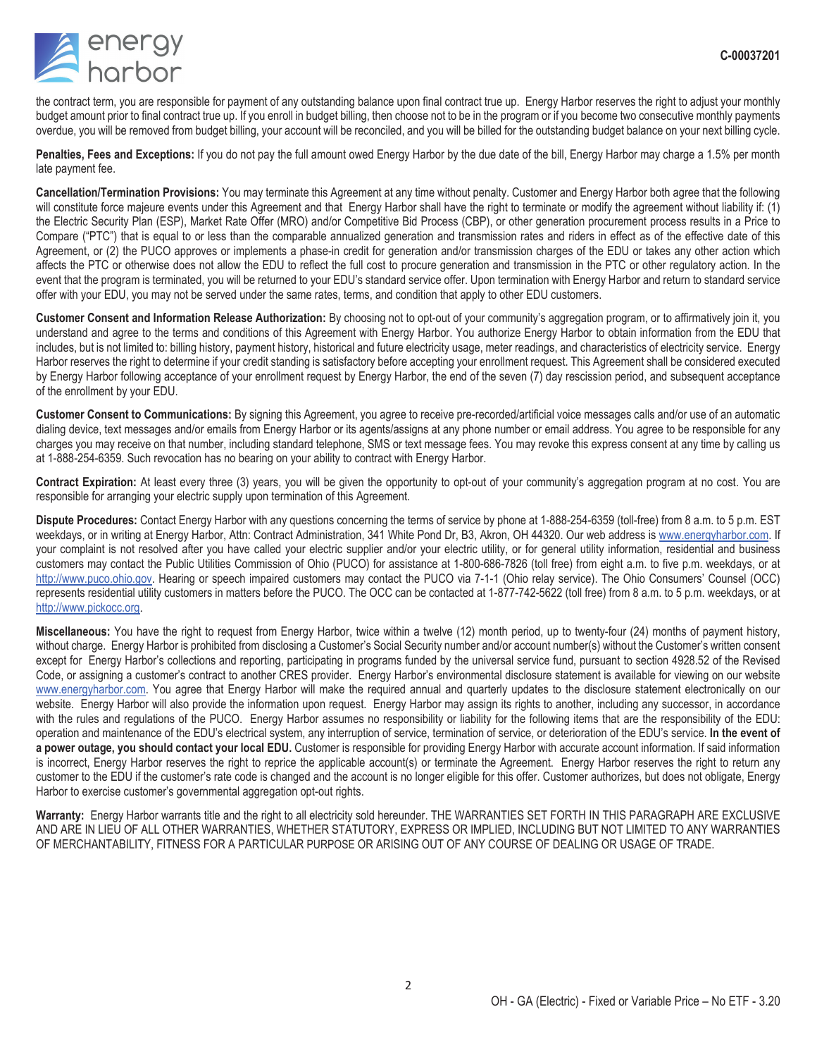

the contract term, you are responsible for payment of any outstanding balance upon final contract true up. Energy Harbor reserves the right to adjust your monthly budget amount prior to final contract true up. If you enroll in budget billing, then choose not to be in the program or if you become two consecutive monthly payments overdue, you will be removed from budget billing, your account will be reconciled, and you will be billed for the outstanding budget balance on your next billing cycle.

**Penalties, Fees and Exceptions:** If you do not pay the full amount owed Energy Harbor by the due date of the bill, Energy Harbor may charge a 1.5% per month late payment fee.

**Cancellation/Termination Provisions:** You may terminate this Agreement at any time without penalty. Customer and Energy Harbor both agree that the following will constitute force majeure events under this Agreement and that Energy Harbor shall have the right to terminate or modify the agreement without liability if: (1) the Electric Security Plan (ESP), Market Rate Offer (MRO) and/or Competitive Bid Process (CBP), or other generation procurement process results in a Price to Compare ("PTC") that is equal to or less than the comparable annualized generation and transmission rates and riders in effect as of the effective date of this Agreement, or (2) the PUCO approves or implements a phase-in credit for generation and/or transmission charges of the EDU or takes any other action which affects the PTC or otherwise does not allow the EDU to reflect the full cost to procure generation and transmission in the PTC or other regulatory action. In the event that the program is terminated, you will be returned to your EDU's standard service offer. Upon termination with Energy Harbor and return to standard service offer with your EDU, you may not be served under the same rates, terms, and condition that apply to other EDU customers.

**Customer Consent and Information Release Authorization:** By choosing not to opt-out of your community's aggregation program, or to affirmatively join it, you understand and agree to the terms and conditions of this Agreement with Energy Harbor. You authorize Energy Harbor to obtain information from the EDU that includes, but is not limited to: billing history, payment history, historical and future electricity usage, meter readings, and characteristics of electricity service. Energy Harbor reserves the right to determine if your credit standing is satisfactory before accepting your enrollment request. This Agreement shall be considered executed by Energy Harbor following acceptance of your enrollment request by Energy Harbor, the end of the seven (7) day rescission period, and subsequent acceptance of the enrollment by your EDU.

**Customer Consent to Communications:** By signing this Agreement, you agree to receive pre-recorded/artificial voice messages calls and/or use of an automatic dialing device, text messages and/or emails from Energy Harbor or its agents/assigns at any phone number or email address. You agree to be responsible for any charges you may receive on that number, including standard telephone, SMS or text message fees. You may revoke this express consent at any time by calling us at 1-888-254-6359. Such revocation has no bearing on your ability to contract with Energy Harbor.

**Contract Expiration:** At least every three (3) years, you will be given the opportunity to opt-out of your community's aggregation program at no cost. You are responsible for arranging your electric supply upon termination of this Agreement.

**Dispute Procedures:** Contact Energy Harbor with any questions concerning the terms of service by phone at 1-888-254-6359 (toll-free) from 8 a.m. to 5 p.m. EST weekdays, or in writing at Energy Harbor, Attn: Contract Administration, 341 White Pond Dr, B3, Akron, OH 44320. Our web address is www.energyharbor.com. If your complaint is not resolved after you have called your electric supplier and/or your electric utility, or for general utility information, residential and business customers may contact the Public Utilities Commission of Ohio (PUCO) for assistance at 1-800-686-7826 (toll free) from eight a.m. to five p.m. weekdays, or at http://www.puco.ohio.gov. Hearing or speech impaired customers may contact the PUCO via 7-1-1 (Ohio relay service). The Ohio Consumers' Counsel (OCC) represents residential utility customers in matters before the PUCO. The OCC can be contacted at 1-877-742-5622 (toll free) from 8 a.m. to 5 p.m. weekdays, or at http://www.pickocc.org.

**Miscellaneous:** You have the right to request from Energy Harbor, twice within a twelve (12) month period, up to twenty-four (24) months of payment history, without charge. Energy Harbor is prohibited from disclosing a Customer's Social Security number and/or account number(s) without the Customer's written consent except for Energy Harbor's collections and reporting, participating in programs funded by the universal service fund, pursuant to section 4928.52 of the Revised Code, or assigning a customer's contract to another CRES provider. Energy Harbor's environmental disclosure statement is available for viewing on our website www.energyharbor.com. You agree that Energy Harbor will make the required annual and quarterly updates to the disclosure statement electronically on our website. Energy Harbor will also provide the information upon request. Energy Harbor may assign its rights to another, including any successor, in accordance with the rules and regulations of the PUCO. Energy Harbor assumes no responsibility or liability for the following items that are the responsibility of the EDU: operation and maintenance of the EDU's electrical system, any interruption of service, termination of service, or deterioration of the EDU's service. **In the event of a power outage, you should contact your local EDU.** Customer is responsible for providing Energy Harbor with accurate account information. If said information is incorrect, Energy Harbor reserves the right to reprice the applicable account(s) or terminate the Agreement. Energy Harbor reserves the right to return any customer to the EDU if the customer's rate code is changed and the account is no longer eligible for this offer. Customer authorizes, but does not obligate, Energy Harbor to exercise customer's governmental aggregation opt-out rights.

**Warranty:** Energy Harbor warrants title and the right to all electricity sold hereunder. THE WARRANTIES SET FORTH IN THIS PARAGRAPH ARE EXCLUSIVE AND ARE IN LIEU OF ALL OTHER WARRANTIES, WHETHER STATUTORY, EXPRESS OR IMPLIED, INCLUDING BUT NOT LIMITED TO ANY WARRANTIES OF MERCHANTABILITY, FITNESS FOR A PARTICULAR PURPOSE OR ARISING OUT OF ANY COURSE OF DEALING OR USAGE OF TRADE.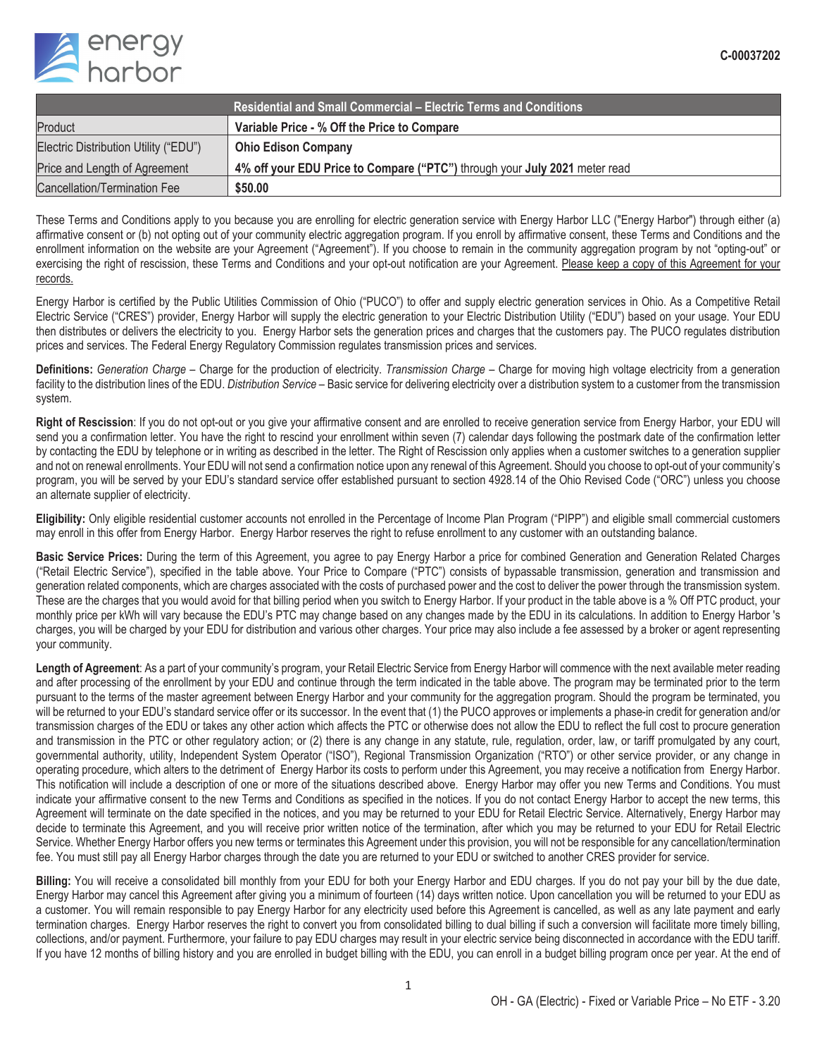

| <b>Residential and Small Commercial – Electric Terms and Conditions</b> |                                                                            |  |  |  |
|-------------------------------------------------------------------------|----------------------------------------------------------------------------|--|--|--|
| Product                                                                 | Variable Price - % Off the Price to Compare                                |  |  |  |
| Electric Distribution Utility ("EDU")                                   | <b>Ohio Edison Company</b>                                                 |  |  |  |
| Price and Length of Agreement                                           | 4% off your EDU Price to Compare ("PTC") through your July 2021 meter read |  |  |  |
| Cancellation/Termination Fee                                            | \$50,00                                                                    |  |  |  |

These Terms and Conditions apply to you because you are enrolling for electric generation service with Energy Harbor LLC ("Energy Harbor") through either (a) affirmative consent or (b) not opting out of your community electric aggregation program. If you enroll by affirmative consent, these Terms and Conditions and the enrollment information on the website are your Agreement ("Agreement"). If you choose to remain in the community aggregation program by not "opting-out" or exercising the right of rescission, these Terms and Conditions and your opt-out notification are your Agreement. Please keep a copy of this Agreement for your records.

Energy Harbor is certified by the Public Utilities Commission of Ohio ("PUCO") to offer and supply electric generation services in Ohio. As a Competitive Retail Electric Service ("CRES") provider, Energy Harbor will supply the electric generation to your Electric Distribution Utility ("EDU") based on your usage. Your EDU then distributes or delivers the electricity to you. Energy Harbor sets the generation prices and charges that the customers pay. The PUCO regulates distribution prices and services. The Federal Energy Regulatory Commission regulates transmission prices and services.

**Definitions:** *Generation Charge* – Charge for the production of electricity. *Transmission Charge* – Charge for moving high voltage electricity from a generation facility to the distribution lines of the EDU. *Distribution Service* – Basic service for delivering electricity over a distribution system to a customer from the transmission system.

**Right of Rescission**: If you do not opt-out or you give your affirmative consent and are enrolled to receive generation service from Energy Harbor, your EDU will send you a confirmation letter. You have the right to rescind your enrollment within seven (7) calendar days following the postmark date of the confirmation letter by contacting the EDU by telephone or in writing as described in the letter. The Right of Rescission only applies when a customer switches to a generation supplier and not on renewal enrollments. Your EDU will not send a confirmation notice upon any renewal of this Agreement. Should you choose to opt-out of your community's program, you will be served by your EDU's standard service offer established pursuant to section 4928.14 of the Ohio Revised Code ("ORC") unless you choose an alternate supplier of electricity.

**Eligibility:** Only eligible residential customer accounts not enrolled in the Percentage of Income Plan Program ("PIPP") and eligible small commercial customers may enroll in this offer from Energy Harbor. Energy Harbor reserves the right to refuse enrollment to any customer with an outstanding balance.

**Basic Service Prices:** During the term of this Agreement, you agree to pay Energy Harbor a price for combined Generation and Generation Related Charges ("Retail Electric Service"), specified in the table above. Your Price to Compare ("PTC") consists of bypassable transmission, generation and transmission and generation related components, which are charges associated with the costs of purchased power and the cost to deliver the power through the transmission system. These are the charges that you would avoid for that billing period when you switch to Energy Harbor. If your product in the table above is a % Off PTC product, your monthly price per kWh will vary because the EDU's PTC may change based on any changes made by the EDU in its calculations. In addition to Energy Harbor 's charges, you will be charged by your EDU for distribution and various other charges. Your price may also include a fee assessed by a broker or agent representing your community.

Length of Agreement: As a part of your community's program, your Retail Electric Service from Energy Harbor will commence with the next available meter reading and after processing of the enrollment by your EDU and continue through the term indicated in the table above. The program may be terminated prior to the term pursuant to the terms of the master agreement between Energy Harbor and your community for the aggregation program. Should the program be terminated, you will be returned to your EDU's standard service offer or its successor. In the event that (1) the PUCO approves or implements a phase-in credit for generation and/or transmission charges of the EDU or takes any other action which affects the PTC or otherwise does not allow the EDU to reflect the full cost to procure generation and transmission in the PTC or other regulatory action; or (2) there is any change in any statute, rule, regulation, order, law, or tariff promulgated by any court, governmental authority, utility, Independent System Operator ("ISO"), Regional Transmission Organization ("RTO") or other service provider, or any change in operating procedure, which alters to the detriment of Energy Harbor its costs to perform under this Agreement, you may receive a notification from Energy Harbor. This notification will include a description of one or more of the situations described above. Energy Harbor may offer you new Terms and Conditions. You must indicate your affirmative consent to the new Terms and Conditions as specified in the notices. If you do not contact Energy Harbor to accept the new terms, this Agreement will terminate on the date specified in the notices, and you may be returned to your EDU for Retail Electric Service. Alternatively, Energy Harbor may decide to terminate this Agreement, and you will receive prior written notice of the termination, after which you may be returned to your EDU for Retail Electric Service. Whether Energy Harbor offers you new terms or terminates this Agreement under this provision, you will not be responsible for any cancellation/termination fee. You must still pay all Energy Harbor charges through the date you are returned to your EDU or switched to another CRES provider for service.

**Billing:** You will receive a consolidated bill monthly from your EDU for both your Energy Harbor and EDU charges. If you do not pay your bill by the due date, Energy Harbor may cancel this Agreement after giving you a minimum of fourteen (14) days written notice. Upon cancellation you will be returned to your EDU as a customer. You will remain responsible to pay Energy Harbor for any electricity used before this Agreement is cancelled, as well as any late payment and early termination charges. Energy Harbor reserves the right to convert you from consolidated billing to dual billing if such a conversion will facilitate more timely billing, collections, and/or payment. Furthermore, your failure to pay EDU charges may result in your electric service being disconnected in accordance with the EDU tariff. If you have 12 months of billing history and you are enrolled in budget billing with the EDU, you can enroll in a budget billing program once per year. At the end of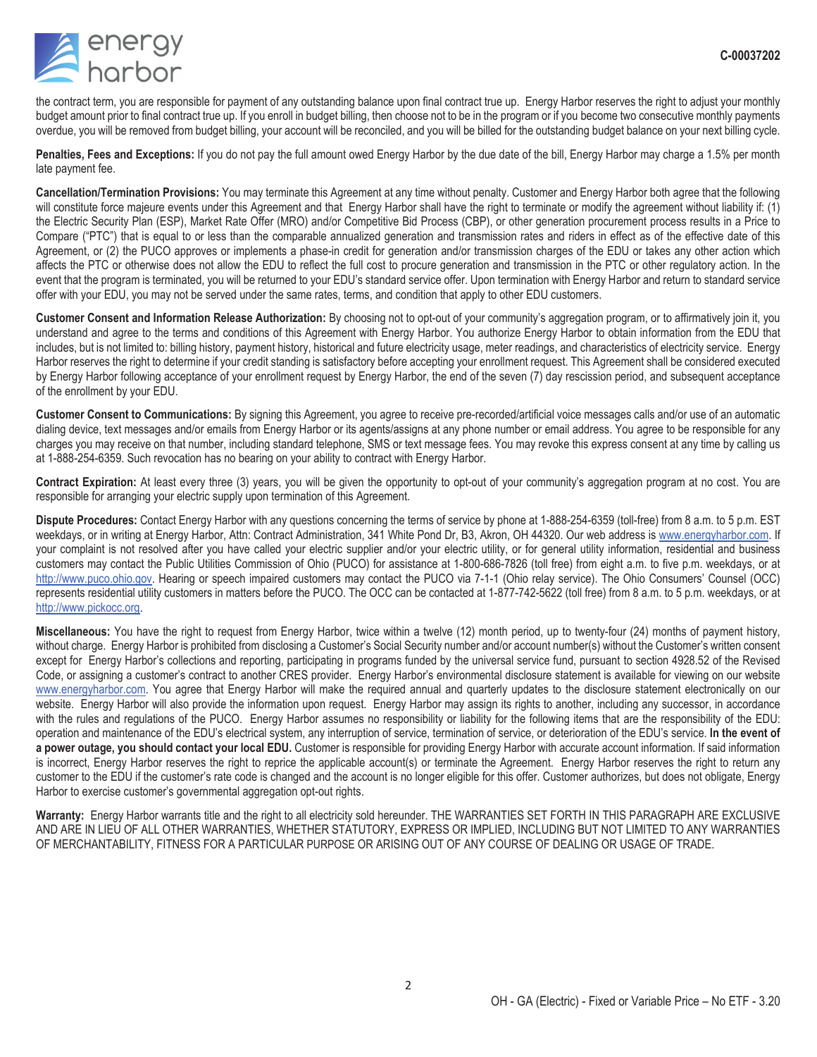

the contract term, you are responsible for payment of any outstanding balance upon final contract true up. Energy Harbor reserves the right to adjust your monthly budget amount prior to final contract true up. If you enroll in budget billing, then choose not to be in the program or if you become two consecutive monthly payments overdue, you will be removed from budget billing, your account will be reconciled, and you will be billed for the outstanding budget balance on your next billing cycle.

**Penalties, Fees and Exceptions:** If you do not pay the full amount owed Energy Harbor by the due date of the bill, Energy Harbor may charge a 1.5% per month late payment fee.

**Cancellation/Termination Provisions:** You may terminate this Agreement at any time without penalty. Customer and Energy Harbor both agree that the following will constitute force majeure events under this Agreement and that Energy Harbor shall have the right to terminate or modify the agreement without liability if: (1) the Electric Security Plan (ESP), Market Rate Offer (MRO) and/or Competitive Bid Process (CBP), or other generation procurement process results in a Price to Compare ("PTC") that is equal to or less than the comparable annualized generation and transmission rates and riders in effect as of the effective date of this Agreement, or (2) the PUCO approves or implements a phase-in credit for generation and/or transmission charges of the EDU or takes any other action which affects the PTC or otherwise does not allow the EDU to reflect the full cost to procure generation and transmission in the PTC or other regulatory action. In the event that the program is terminated, you will be returned to your EDU's standard service offer. Upon termination with Energy Harbor and return to standard service offer with your EDU, you may not be served under the same rates, terms, and condition that apply to other EDU customers.

**Customer Consent and Information Release Authorization:** By choosing not to opt-out of your community's aggregation program, or to affirmatively join it, you understand and agree to the terms and conditions of this Agreement with Energy Harbor. You authorize Energy Harbor to obtain information from the EDU that includes, but is not limited to: billing history, payment history, historical and future electricity usage, meter readings, and characteristics of electricity service. Energy Harbor reserves the right to determine if your credit standing is satisfactory before accepting your enrollment request. This Agreement shall be considered executed by Energy Harbor following acceptance of your enrollment request by Energy Harbor, the end of the seven (7) day rescission period, and subsequent acceptance of the enrollment by your EDU.

**Customer Consent to Communications:** By signing this Agreement, you agree to receive pre-recorded/artificial voice messages calls and/or use of an automatic dialing device, text messages and/or emails from Energy Harbor or its agents/assigns at any phone number or email address. You agree to be responsible for any charges you may receive on that number, including standard telephone, SMS or text message fees. You may revoke this express consent at any time by calling us at 1-888-254-6359. Such revocation has no bearing on your ability to contract with Energy Harbor.

**Contract Expiration:** At least every three (3) years, you will be given the opportunity to opt-out of your community's aggregation program at no cost. You are responsible for arranging your electric supply upon termination of this Agreement.

**Dispute Procedures:** Contact Energy Harbor with any questions concerning the terms of service by phone at 1-888-254-6359 (toll-free) from 8 a.m. to 5 p.m. EST weekdays, or in writing at Energy Harbor, Attn: Contract Administration, 341 White Pond Dr, B3, Akron, OH 44320. Our web address is www.energyharbor.com. If your complaint is not resolved after you have called your electric supplier and/or your electric utility, or for general utility information, residential and business customers may contact the Public Utilities Commission of Ohio (PUCO) for assistance at 1-800-686-7826 (toll free) from eight a.m. to five p.m. weekdays, or at http://www.puco.ohio.gov. Hearing or speech impaired customers may contact the PUCO via 7-1-1 (Ohio relay service). The Ohio Consumers' Counsel (OCC) represents residential utility customers in matters before the PUCO. The OCC can be contacted at 1-877-742-5622 (toll free) from 8 a.m. to 5 p.m. weekdays, or at http://www.pickocc.org.

**Miscellaneous:** You have the right to request from Energy Harbor, twice within a twelve (12) month period, up to twenty-four (24) months of payment history, without charge. Energy Harbor is prohibited from disclosing a Customer's Social Security number and/or account number(s) without the Customer's written consent except for Energy Harbor's collections and reporting, participating in programs funded by the universal service fund, pursuant to section 4928.52 of the Revised Code, or assigning a customer's contract to another CRES provider. Energy Harbor's environmental disclosure statement is available for viewing on our website www.energyharbor.com. You agree that Energy Harbor will make the required annual and quarterly updates to the disclosure statement electronically on our website. Energy Harbor will also provide the information upon request. Energy Harbor may assign its rights to another, including any successor, in accordance with the rules and regulations of the PUCO. Energy Harbor assumes no responsibility or liability for the following items that are the responsibility of the EDU: operation and maintenance of the EDU's electrical system, any interruption of service, termination of service, or deterioration of the EDU's service. **In the event of a power outage, you should contact your local EDU.** Customer is responsible for providing Energy Harbor with accurate account information. If said information is incorrect, Energy Harbor reserves the right to reprice the applicable account(s) or terminate the Agreement. Energy Harbor reserves the right to return any customer to the EDU if the customer's rate code is changed and the account is no longer eligible for this offer. Customer authorizes, but does not obligate, Energy Harbor to exercise customer's governmental aggregation opt-out rights.

**Warranty:** Energy Harbor warrants title and the right to all electricity sold hereunder. THE WARRANTIES SET FORTH IN THIS PARAGRAPH ARE EXCLUSIVE AND ARE IN LIEU OF ALL OTHER WARRANTIES, WHETHER STATUTORY, EXPRESS OR IMPLIED, INCLUDING BUT NOT LIMITED TO ANY WARRANTIES OF MERCHANTABILITY, FITNESS FOR A PARTICULAR PURPOSE OR ARISING OUT OF ANY COURSE OF DEALING OR USAGE OF TRADE.